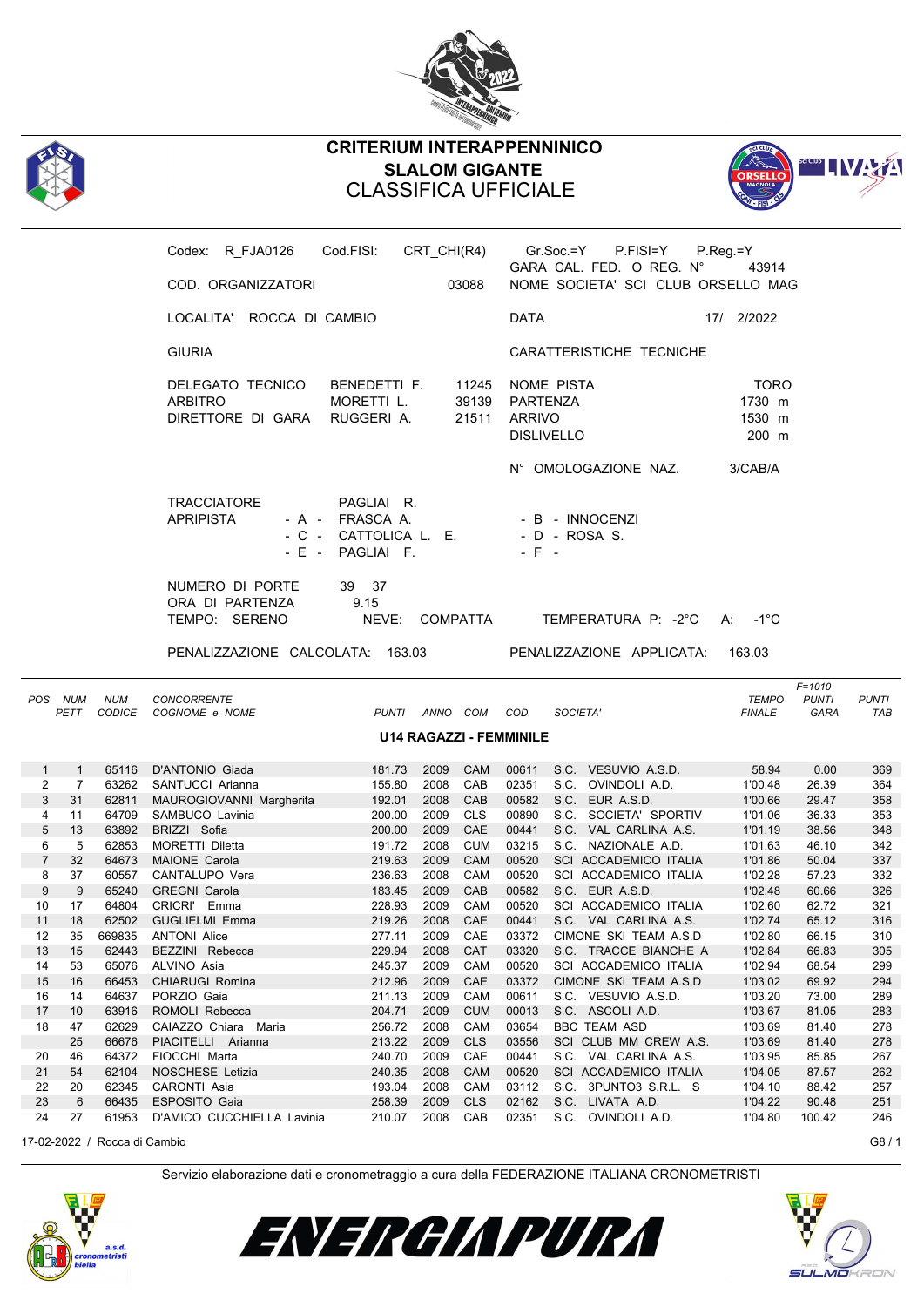



## **CRITERIUM INTERAPPENNINICO SLALOM GIGANTE** CLASSIFICA UFFICIALE



|                   |                                |                             | Codex: R FJA0126 Cod.FISI: CRT CHI(R4)                     |                                                                      |                  |                   |                                                                   | Gr.Soc.=Y<br>P.FISI=Y<br>GARA CAL. FED. O REG. N°     | $P_{\cdot}$ Reg. = Y<br>43914            |                            |              |
|-------------------|--------------------------------|-----------------------------|------------------------------------------------------------|----------------------------------------------------------------------|------------------|-------------------|-------------------------------------------------------------------|-------------------------------------------------------|------------------------------------------|----------------------------|--------------|
|                   |                                |                             | COD. ORGANIZZATORI                                         |                                                                      |                  | 03088             |                                                                   | NOME SOCIETA' SCI CLUB ORSELLO MAG                    |                                          |                            |              |
|                   |                                |                             | LOCALITA' ROCCA DI CAMBIO                                  |                                                                      |                  |                   | <b>DATA</b>                                                       |                                                       | 17/ 2/2022                               |                            |              |
|                   |                                |                             | <b>GIURIA</b>                                              |                                                                      |                  |                   |                                                                   | CARATTERISTICHE TECNICHE                              |                                          |                            |              |
|                   |                                |                             | DELEGATO TECNICO<br><b>ARBITRO</b><br>DIRETTORE DI GARA    | BENEDETTI F.<br>MORETTI L.<br>RUGGERI A.                             |                  | 21511             | 11245 NOME PISTA<br>39139 PARTENZA<br>ARRIVO<br><b>DISLIVELLO</b> |                                                       | <b>TORO</b><br>1730 m<br>1530 m<br>200 m |                            |              |
|                   |                                |                             |                                                            |                                                                      |                  |                   |                                                                   | N° OMOLOGAZIONE NAZ.                                  | 3/CAB/A                                  |                            |              |
|                   |                                |                             | <b>TRACCIATORE</b><br><b>APRIPISTA</b><br>$-$ F $-$        | PAGLIAI R.<br>- A - FRASCA A.<br>- C - CATTOLICA L. E.<br>PAGLIAI F. |                  |                   | $-$ F $-$                                                         | - B - INNOCENZI<br>- D - ROSA S.                      |                                          |                            |              |
|                   |                                |                             | NUMERO DI PORTE<br>ORA DI PARTENZA                         | 39 37<br>9.15                                                        |                  |                   |                                                                   |                                                       |                                          |                            |              |
|                   |                                |                             | TEMPO: SERENO                                              | NEVE:                                                                | COMPATTA         |                   |                                                                   | TEMPERATURA P: -2°C                                   | $A: -1^{\circ}C$                         |                            |              |
|                   |                                |                             | PENALIZZAZIONE CALCOLATA: 163.03 PENALIZZAZIONE APPLICATA: |                                                                      |                  |                   |                                                                   |                                                       | 163.03                                   |                            |              |
|                   | POS NUM<br>PETT                | <b>NUM</b><br><b>CODICE</b> | CONCORRENTE<br>COGNOME e NOME                              | PUNTI ANNO COM COD.                                                  |                  |                   |                                                                   | SOCIETA'                                              | <b>TEMPO</b>                             | $F = 1010$<br><b>PUNTI</b> | <b>PUNTI</b> |
|                   |                                |                             |                                                            |                                                                      |                  |                   |                                                                   |                                                       | <b>FINALE</b>                            | GARA                       | TAB          |
|                   |                                |                             |                                                            |                                                                      |                  |                   | <b>U14 RAGAZZI - FEMMINILE</b>                                    |                                                       |                                          |                            |              |
|                   |                                |                             |                                                            |                                                                      |                  |                   |                                                                   |                                                       | 58.94                                    |                            |              |
| $\mathbf{1}$<br>2 | $\mathbf{1}$<br>$\overline{7}$ |                             | 65116 D'ANTONIO Giada                                      | 181.73<br>155.80                                                     | 2009 CAM<br>2008 | CAB               |                                                                   | 00611 S.C. VESUVIO A.S.D.<br>02351 S.C. OVINDOLI A.D. | 1'00.48                                  | 0.00<br>26.39              | 369<br>364   |
| 3                 | 31                             | 62811                       | 63262 SANTUCCI Arianna                                     | 192.01                                                               | 2008 CAB         |                   |                                                                   | 00582 S.C. EUR A.S.D.                                 | 1'00.66                                  | 29.47                      | 358          |
| 4                 | 11                             | 64709                       | MAUROGIOVANNI Margherita<br>SAMBUCO Lavinia                | 200.00                                                               | 2009             | <b>CLS</b>        | 00890                                                             | S.C. SOCIETA' SPORTIV                                 | 1'01.06                                  | 36.33                      | 353          |
| 5                 | 13                             | 63892                       | BRIZZI Sofia                                               | 200.00                                                               | 2009             | CAE               |                                                                   | 00441 S.C. VAL CARLINA A.S.                           | 1'01.19                                  | 38.56                      | 348          |
| 6                 | 5                              | 62853                       |                                                            | 191.72                                                               | 2008             | <b>CUM</b>        |                                                                   | 03215 S.C. NAZIONALE A.D.                             | 1'01.63                                  | 46.10                      | 342          |
| $\overline{7}$    | 32                             | 64673                       | MORETTI Diletta<br><b>MAIONE Carola</b>                    | 219.63                                                               | 2009             | CAM               |                                                                   | 00520 SCI ACCADEMICO ITALIA                           | 1'01.86                                  | 50.04                      | 337          |
| 8                 | 37                             | 60557                       | CANTALUPO Vera                                             | 236.63                                                               | 2008             | CAM               |                                                                   | 00520 SCI ACCADEMICO ITALIA                           | 1'02.28                                  | 57.23                      | 332          |
| 9                 | 9                              | 65240                       | <b>GREGNI Carola</b>                                       | 183.45                                                               | 2009             | CAB               |                                                                   | 00582 S.C. EUR A.S.D.                                 | 1'02.48                                  | 60.66                      | 326          |
| 10                | 17                             | 64804                       | CRICRI' Emma                                               | 228.93                                                               | 2009             | CAM               |                                                                   | 00520 SCI ACCADEMICO ITALIA                           | 1'02.60                                  | 62.72                      | 321          |
| 11                | 18                             |                             | 62502 GUGLIELMI Emma                                       | 219.26                                                               | 2008 CAE         |                   |                                                                   | 00441 S.C. VAL CARLINA A.S.                           | 1'02.74                                  | 65.12                      | 316          |
| 12                | 35                             | 669835                      | <b>ANTONI Alice</b>                                        | 277.11                                                               | 2009             | CAE               | 03372                                                             | CIMONE SKI TEAM A.S.D                                 | 1'02.80                                  | 66.15                      | 310          |
| 13                | 15                             | 62443                       | BEZZINI Rebecca                                            | 229.94                                                               | 2008             | CAT               | 03320                                                             | S.C. TRACCE BIANCHE A                                 | 1'02.84                                  | 66.83                      | 305          |
| 14                | 53                             | 65076                       | ALVINO Asia                                                | 245.37                                                               | 2009             | CAM               | 00520                                                             | SCI ACCADEMICO ITALIA                                 | 1'02.94                                  | 68.54                      | 299          |
| 15                | 16                             | 66453                       | CHIARUGI Romina                                            | 212.96                                                               | 2009             | CAE               | 03372                                                             | CIMONE SKI TEAM A.S.D                                 | 1'03.02                                  | 69.92                      | 294          |
| 16                | 14                             | 64637                       | PORZIO Gaia                                                | 211.13                                                               | 2009             | CAM               | 00611                                                             | S.C. VESUVIO A.S.D.                                   | 1'03.20                                  | 73.00                      | 289          |
| 17                | 10                             | 63916                       | ROMOLI Rebecca                                             | 204.71                                                               | 2009             | <b>CUM</b>        | 00013                                                             | S.C. ASCOLI A.D.                                      | 1'03.67                                  | 81.05                      | 283          |
| 18                | 47                             | 62629                       | CAIAZZO Chiara Maria                                       | 256.72                                                               | 2008             | CAM               | 03654                                                             | <b>BBC TEAM ASD</b>                                   | 1'03.69                                  | 81.40                      | 278          |
|                   | 25                             | 66676                       | PIACITELLI Arianna                                         | 213.22                                                               | 2009             | <b>CLS</b>        | 03556                                                             | SCI CLUB MM CREW A.S.                                 | 1'03.69                                  | 81.40                      | 278          |
| 20                | 46                             | 64372                       | FIOCCHI Marta                                              | 240.70                                                               | 2009             | CAE               | 00441                                                             | S.C. VAL CARLINA A.S.                                 | 1'03.95                                  | 85.85                      | 267          |
| 21                | 54                             | 62104                       | NOSCHESE Letizia                                           | 240.35                                                               | 2008             | <b>CAM</b>        | 00520                                                             | SCI ACCADEMICO ITALIA                                 | 1'04.05                                  | 87.57                      | 262          |
| 22                | 20                             | 62345                       | CARONTI Asia                                               | 193.04                                                               | 2008             | CAM               | 03112                                                             | S.C. 3PUNTO3 S.R.L. S                                 | 1'04.10                                  | 88.42                      | 257          |
| 23<br>24          | 6<br>27                        | 66435<br>61953              | ESPOSITO Gaia<br>D'AMICO CUCCHIELLA Lavinia                | 258.39<br>210.07                                                     | 2009<br>2008     | <b>CLS</b><br>CAB | 02162<br>02351                                                    | S.C. LIVATA A.D.<br>S.C. OVINDOLI A.D.                | 1'04.22<br>1'04.80                       | 90.48<br>100.42            | 251<br>246   |

17-02-2022 / Rocca di Cambio G8 / 1





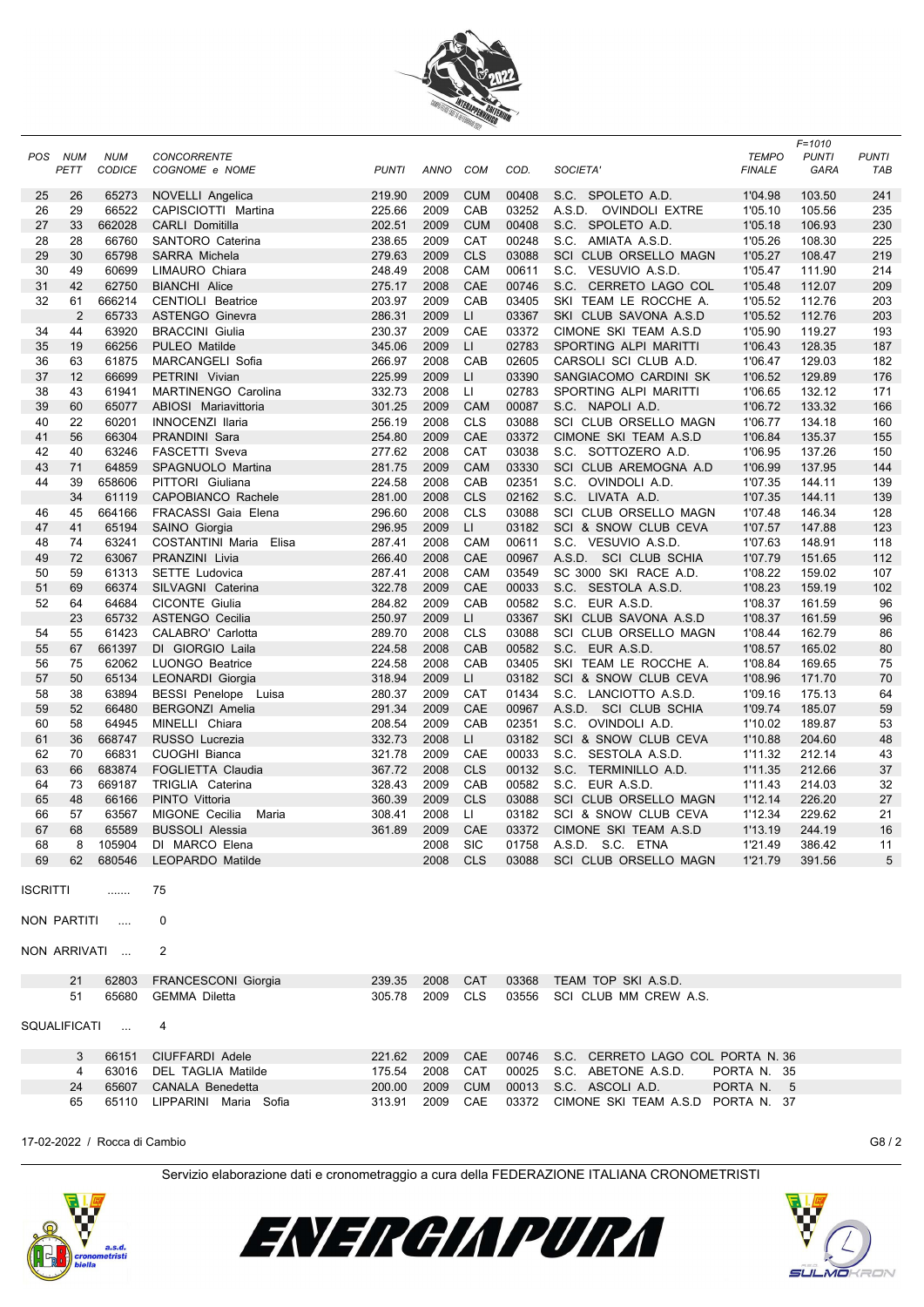

|            |                |               |                          |              |             |              |                |                                         |               | $F = 1010$   |              |
|------------|----------------|---------------|--------------------------|--------------|-------------|--------------|----------------|-----------------------------------------|---------------|--------------|--------------|
| <b>POS</b> | NUM            | <b>NUM</b>    | <b>CONCORRENTE</b>       |              |             |              |                |                                         | <b>TEMPO</b>  | <b>PUNTI</b> | <b>PUNTI</b> |
|            | PETT           | <b>CODICE</b> | COGNOME e NOME           | <b>PUNTI</b> | <b>ANNO</b> | <b>COM</b>   | COD.           | SOCIETA'                                | <b>FINALE</b> | GARA         | TAB          |
|            |                |               |                          |              |             |              |                |                                         |               |              |              |
| 25         | 26             | 65273         | NOVELLI Angelica         | 219.90       | 2009        | <b>CUM</b>   | 00408          | S.C. SPOLETO A.D.                       | 1'04.98       | 103.50       | 241          |
| 26         | 29             | 66522         | CAPISCIOTTI Martina      | 225.66       | 2009        | CAB          | 03252          | A.S.D. OVINDOLI EXTRE                   | 1'05.10       | 105.56       | 235          |
| 27         | 33             | 662028        | <b>CARLI Domitilla</b>   | 202.51       | 2009        | <b>CUM</b>   | 00408          | S.C. SPOLETO A.D.                       | 1'05.18       | 106.93       | 230          |
| 28         | 28             | 66760         | SANTORO Caterina         | 238.65       | 2009        | <b>CAT</b>   | 00248          | S.C. AMIATA A.S.D.                      | 1'05.26       | 108.30       | 225          |
| 29         | 30             | 65798         | SARRA Michela            | 279.63       | 2009        | <b>CLS</b>   | 03088          | SCI CLUB ORSELLO MAGN                   | 1'05.27       | 108.47       | 219          |
| 30         | 49             | 60699         | LIMAURO Chiara           | 248.49       | 2008        | CAM          | 00611          | S.C. VESUVIO A.S.D.                     | 1'05.47       | 111.90       | 214          |
| 31         | 42             | 62750         | <b>BIANCHI Alice</b>     | 275.17       | 2008        | CAE          | 00746          | S.C. CERRETO LAGO COL                   | 1'05.48       | 112.07       | 209          |
| 32         | 61             | 666214        | <b>CENTIOLI Beatrice</b> | 203.97       | 2009        | CAB          | 03405          | SKI TEAM LE ROCCHE A.                   | 1'05.52       | 112.76       | 203          |
|            | $\overline{2}$ | 65733         | <b>ASTENGO Ginevra</b>   | 286.31       | 2009        | LI           | 03367          | SKI CLUB SAVONA A.S.D                   | 1'05.52       | 112.76       | 203          |
| 34         | 44             | 63920         | <b>BRACCINI Giulia</b>   | 230.37       | 2009        | CAE          | 03372          | CIMONE SKI TEAM A.S.D                   | 1'05.90       | 119.27       | 193          |
| 35         | 19             | 66256         | PULEO Matilde            | 345.06       | 2009        | LI.          | 02783          | SPORTING ALPI MARITTI                   | 1'06.43       | 128.35       | 187          |
| 36         | 63             | 61875         | MARCANGELI Sofia         | 266.97       | 2008        | CAB          | 02605          | CARSOLI SCI CLUB A.D.                   | 1'06.47       | 129.03       | 182          |
| 37         | 12             | 66699         | PETRINI Vivian           | 225.99       | 2009        | LI           | 03390          | SANGIACOMO CARDINI SK                   | 1'06.52       | 129.89       | 176          |
| 38         | 43             | 61941         | MARTINENGO Carolina      | 332.73       | 2008        | LI.          | 02783          | SPORTING ALPI MARITTI                   | 1'06.65       | 132.12       | 171          |
| 39         | 60             | 65077         | ABIOSI Mariavittoria     | 301.25       | 2009        | CAM          | 00087          | S.C. NAPOLI A.D.                        | 1'06.72       | 133.32       | 166          |
| 40         | 22             | 60201         | <b>INNOCENZI Ilaria</b>  | 256.19       | 2008        | <b>CLS</b>   | 03088          | SCI CLUB ORSELLO MAGN                   | 1'06.77       | 134.18       | 160          |
| 41         | 56             | 66304         | PRANDINI Sara            | 254.80       | 2009        | CAE          | 03372          | CIMONE SKI TEAM A.S.D                   | 1'06.84       | 135.37       | 155          |
| 42         | 40             | 63246         | <b>FASCETTI Sveva</b>    | 277.62       | 2008        | CAT          | 03038          | S.C. SOTTOZERO A.D.                     | 1'06.95       | 137.26       | 150          |
| 43         | 71             | 64859         | SPAGNUOLO Martina        | 281.75       | 2009        | CAM          | 03330          | SCI CLUB AREMOGNA A.D                   | 1'06.99       | 137.95       | 144          |
| 44         | 39             | 658606        | PITTORI Giuliana         | 224.58       | 2008        | CAB          | 02351          | S.C. OVINDOLI A.D.                      | 1'07.35       | 144.11       | 139          |
|            | 34             | 61119         | CAPOBIANCO Rachele       | 281.00       | 2008        | <b>CLS</b>   | 02162          | S.C. LIVATA A.D.                        | 1'07.35       | 144.11       | 139          |
| 46         | 45             | 664166        | FRACASSI Gaia Elena      | 296.60       | 2008        | <b>CLS</b>   | 03088          | SCI CLUB ORSELLO MAGN                   | 1'07.48       | 146.34       | 128          |
| 47         | 41             | 65194         | SAINO Giorgia            | 296.95       | 2009        | $\mathsf{L}$ | 03182          | SCI & SNOW CLUB CEVA                    | 1'07.57       | 147.88       | 123          |
| 48         | 74             | 63241         | COSTANTINI Maria Elisa   | 287.41       | 2008        | CAM          | 00611          | S.C. VESUVIO A.S.D.                     | 1'07.63       | 148.91       | 118          |
| 49         | 72             | 63067         | PRANZINI Livia           | 266.40       | 2008        | CAE          | 00967          | A.S.D. SCI CLUB SCHIA                   | 1'07.79       | 151.65       | 112          |
| 50         | 59             | 61313         | <b>SETTE Ludovica</b>    | 287.41       | 2008        | CAM          | 03549          | SC 3000 SKI RACE A.D.                   | 1'08.22       | 159.02       | 107          |
| 51         | 69             | 66374         |                          | 322.78       | 2009        | CAE          | 00033          | S.C. SESTOLA A.S.D.                     | 1'08.23       | 159.19       |              |
| 52         | 64             | 64684         | SILVAGNI Caterina        |              |             | CAB          |                |                                         |               |              | 102          |
|            | 23             | 65732         | <b>CICONTE Giulia</b>    | 284.82       | 2009        |              | 00582<br>03367 | S.C. EUR A.S.D.                         | 1'08.37       | 161.59       | 96           |
|            |                |               | <b>ASTENGO Cecilia</b>   | 250.97       | 2009        | LI.          |                | SKI CLUB SAVONA A.S.D                   | 1'08.37       | 161.59       | 96           |
| 54         | 55             | 61423         | CALABRO' Carlotta        | 289.70       | 2008        | <b>CLS</b>   | 03088          | SCI CLUB ORSELLO MAGN                   | 1'08.44       | 162.79       | 86           |
| 55         | 67             | 661397        | DI GIORGIO Laila         | 224.58       | 2008        | CAB          | 00582          | S.C. EUR A.S.D.                         | 1'08.57       | 165.02       | 80           |
| 56         | 75             | 62062         | <b>LUONGO Beatrice</b>   | 224.58       | 2008        | CAB          | 03405          | SKI TEAM LE ROCCHE A.                   | 1'08.84       | 169.65       | 75           |
| 57         | 50             | 65134         | LEONARDI Giorgia         | 318.94       | 2009        | LI           | 03182          | SCI & SNOW CLUB CEVA                    | 1'08.96       | 171.70       | 70           |
| 58         | 38             | 63894         | BESSI Penelope Luisa     | 280.37       | 2009        | CAT          | 01434          | S.C. LANCIOTTO A.S.D.                   | 1'09.16       | 175.13       | 64           |
| 59         | 52             | 66480         | <b>BERGONZI Amelia</b>   | 291.34       | 2009        | CAE          | 00967          | A.S.D. SCI CLUB SCHIA                   | 1'09.74       | 185.07       | 59           |
| 60         | 58             | 64945         | MINELLI Chiara           | 208.54       | 2009        | CAB          | 02351          | S.C. OVINDOLI A.D.                      | 1'10.02       | 189.87       | 53           |
| 61         | 36             | 668747        | RUSSO Lucrezia           | 332.73       | 2008        | LI.          | 03182          | SCI & SNOW CLUB CEVA                    | 1'10.88       | 204.60       | 48           |
| 62         | 70             | 66831         | <b>CUOGHI Bianca</b>     | 321.78       | 2009        | CAE          | 00033          | S.C. SESTOLA A.S.D.                     | 1'11.32       | 212.14       | 43           |
| 63         | 66             | 683874        | FOGLIETTA Claudia        | 367.72       | 2008        | <b>CLS</b>   | 00132          | S.C. TERMINILLO A.D.                    | 1'11.35       | 212.66       | 37           |
| 64         | 73             | 669187        | TRIGLIA Caterina         | 328.43       | 2009        | CAB          | 00582          | S.C. EUR A.S.D.                         | 1'11.43       | 214.03       | 32           |
| 65         | 48             | 66166         | PINTO Vittoria           | 360.39       | 2009        | <b>CLS</b>   | 03088          | SCI CLUB ORSELLO MAGN                   | 1'12.14       | 226.20       | 27           |
| 66         | 57             | 63567         | MIGONE Cecilia<br>Maria  | 308.41       | 2008        | П            | 03182          | SCI & SNOW CLUB CEVA                    | 1'12.34       | 229.62       | 21           |
| 67         | 68             | 65589         | <b>BUSSOLI Alessia</b>   | 361.89       | 2009        | CAE          | 03372          | CIMONE SKI TEAM A.S.D                   | 1'13.19       | 244.19       | 16           |
| 68         |                | 8 105904      | DI MARCO Elena           |              | 2008        | <b>SIC</b>   |                | 01758 A.S.D. S.C. ETNA                  | 1'21.49       | 386.42       | 11           |
| 69         | 62             | 680546        | LEOPARDO Matilde         |              | 2008        | <b>CLS</b>   |                | 03088 SCI CLUB ORSELLO MAGN             | 1'21.79       | 391.56       | 5            |
|            |                |               |                          |              |             |              |                |                                         |               |              |              |
| ISCRITTI   |                | .             | 75                       |              |             |              |                |                                         |               |              |              |
|            | NON PARTITI    | $\sim$        | 0                        |              |             |              |                |                                         |               |              |              |
|            |                | NON ARRIVATI  | 2                        |              |             |              |                |                                         |               |              |              |
|            | 21             | 62803         | FRANCESCONI Giorgia      | 239.35       | 2008        | CAT          |                | 03368 TEAM TOP SKI A.S.D.               |               |              |              |
|            | 51             | 65680         | GEMMA Diletta            | 305.78       | 2009        | <b>CLS</b>   |                | 03556 SCI CLUB MM CREW A.S.             |               |              |              |
|            |                | SQUALIFICATI  | 4                        |              |             |              |                |                                         |               |              |              |
|            |                |               |                          |              |             |              |                |                                         |               |              |              |
|            | 3              | 66151         | CIUFFARDI Adele          | 221.62       | 2009        | CAE          |                | 00746 S.C. CERRETO LAGO COL PORTA N. 36 |               |              |              |
|            | 4              | 63016         | DEL TAGLIA Matilde       | 175.54       | 2008        | CAT          |                | 00025 S.C. ABETONE A.S.D.               | PORTA N. 35   |              |              |
|            | 24             | 65607         | CANALA Benedetta         | 200.00       | 2009        | <b>CUM</b>   |                | 00013 S.C. ASCOLI A.D.                  | PORTA N. 5    |              |              |
|            | 65             | 65110         | LIPPARINI Maria Sofia    | 313.91       | 2009        | CAE          |                | 03372 CIMONE SKI TEAM A.S.D PORTA N. 37 |               |              |              |
|            |                |               |                          |              |             |              |                |                                         |               |              |              |

17-02-2022 / Rocca di Cambio G8 / 2





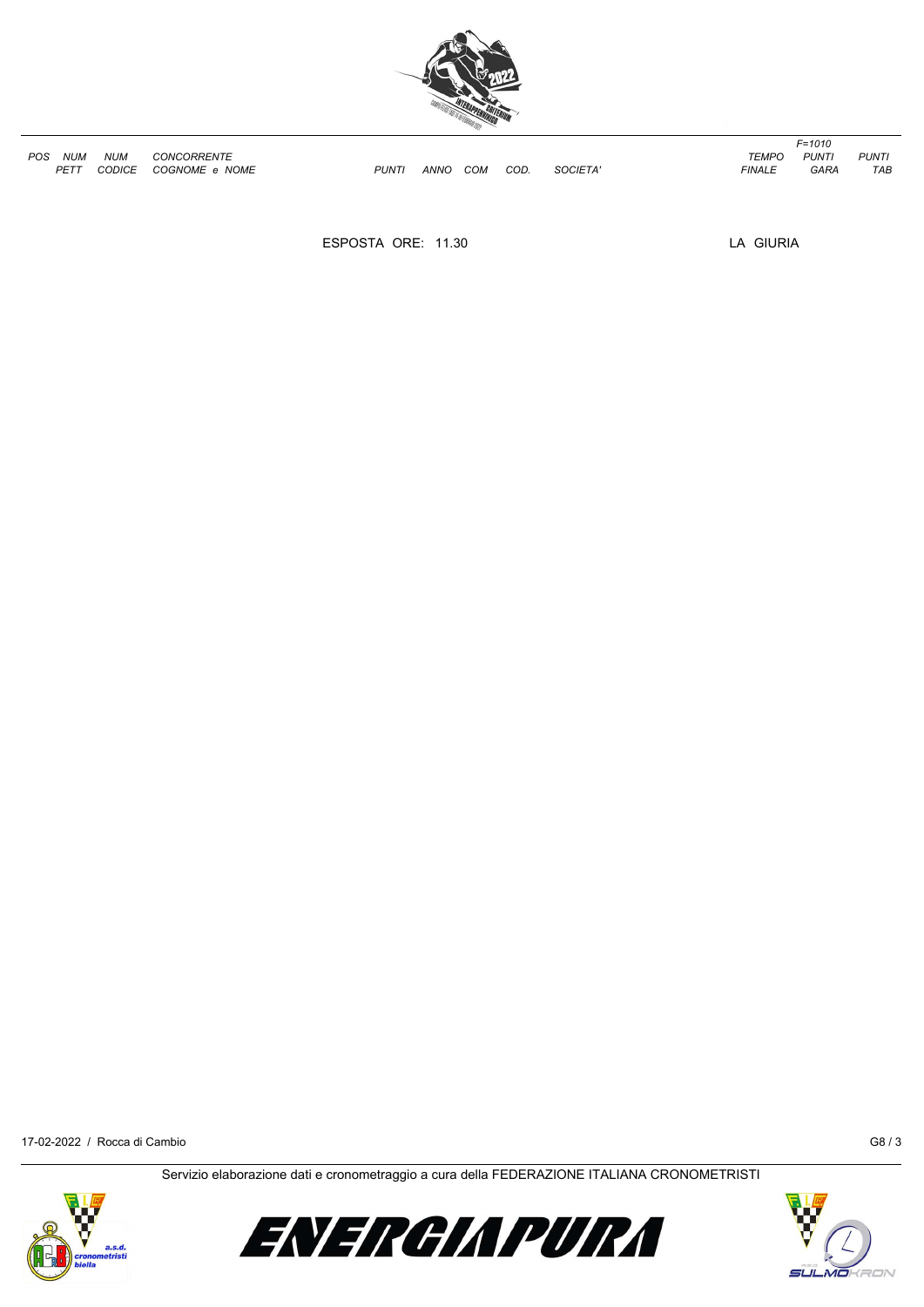

| POS | <b>NUM</b>  | <b>NUM</b> | <b>CONCORRENTE</b>     |      |      |     |     |                | TEMPO.        | PUNT        | <b>PUNT</b> |
|-----|-------------|------------|------------------------|------|------|-----|-----|----------------|---------------|-------------|-------------|
|     | <b>DETT</b> | CODICE     | COGNOME<br><b>NOME</b> | PUNT | ANNC | сом | COD | <b>SOCIETA</b> | <b>FINALL</b> | <b>GARA</b> | $\tau$      |

*PETT CODICE COGNOME e NOME PUNTI ANNO COM COD. SOCIETA' FINALE GARA TAB*

*F=1010*

ESPOSTA ORE: 11.30 LA GIURIA

17-02-2022 / Rocca di Cambio G8 / 3





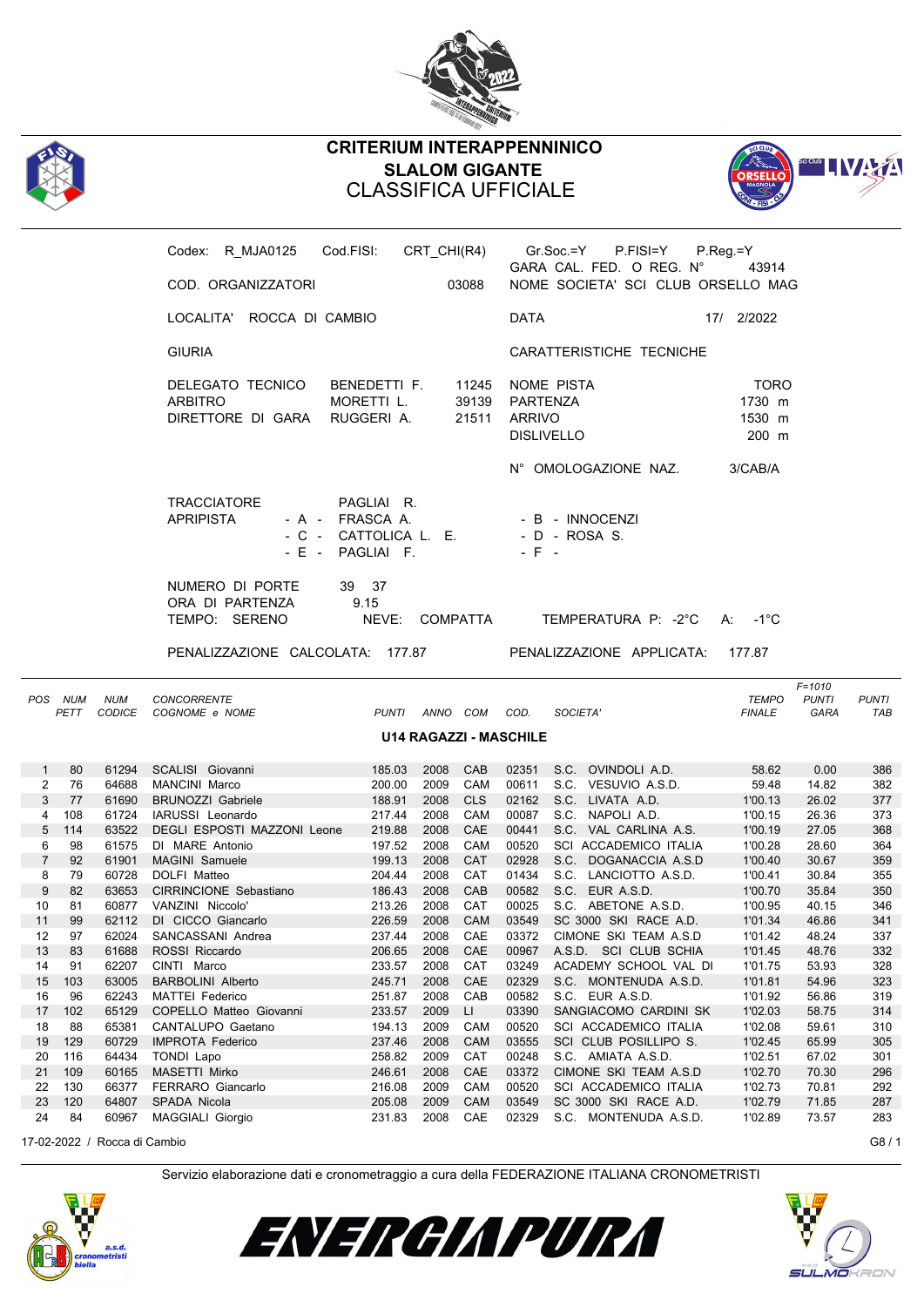



## **CRITERIUM INTERAPPENNINICO SLALOM GIGANTE** CLASSIFICA UFFICIALE



|                |                    |            | Codex: R_MJA0125    Cod.FISI:    CRT_CHI(R4)    Gr.Soc.=Y    P.FISI=Y |                                                                            |                     |                 |                                |                                                                | $P_{\cdot}$ Reg $_{\cdot}$ =Y            |                      |                     |
|----------------|--------------------|------------|-----------------------------------------------------------------------|----------------------------------------------------------------------------|---------------------|-----------------|--------------------------------|----------------------------------------------------------------|------------------------------------------|----------------------|---------------------|
|                |                    |            | COD. ORGANIZZATORI                                                    |                                                                            |                     | 03088           |                                | GARA CAL. FED. O REG. N°<br>NOME SOCIETA' SCI CLUB ORSELLO MAG | 43914                                    |                      |                     |
|                |                    |            | LOCALITA' ROCCA DI CAMBIO                                             |                                                                            |                     |                 | <b>DATA</b>                    |                                                                | 17/ 2/2022                               |                      |                     |
|                |                    |            | <b>GIURIA</b>                                                         |                                                                            |                     |                 |                                | CARATTERISTICHE TECNICHE                                       |                                          |                      |                     |
|                |                    |            | DELEGATO TECNICO<br><b>ARBITRO</b><br>DIRETTORE DI GARA RUGGERI A.    | BENEDETTI F.<br>MORETTI L.                                                 |                     |                 | 39139 PARTENZA<br>21511 ARRIVO | 11245 NOME PISTA<br><b>DISLIVELLO</b>                          | <b>TORO</b><br>1730 m<br>1530 m<br>200 m |                      |                     |
|                |                    |            |                                                                       |                                                                            |                     |                 |                                | N° OMOLOGAZIONE NAZ.                                           | 3/CAB/A                                  |                      |                     |
|                |                    |            | <b>TRACCIATORE</b><br><b>APRIPISTA</b>                                | PAGLIAI R.<br>- A - FRASCA A.<br>- C - CATTOLICA L. E.<br>- E - PAGLIAI F. |                     |                 | $-$ F $-$                      | - B - INNOCENZI<br>- D - ROSA S.                               |                                          |                      |                     |
|                |                    |            | NUMERO DI PORTE<br>ORA DI PARTENZA<br>TEMPO: SERENO                   | 39 37<br>9.15<br>NEVE: COMPATTA                                            |                     |                 |                                | TEMPERATURA P: -2°C                                            | $A: -1^{\circ}C$                         |                      |                     |
|                |                    |            | PENALIZZAZIONE CALCOLATA: 177.87 PENALIZZAZIONE APPLICATA:            |                                                                            |                     |                 |                                |                                                                | 177.87                                   |                      |                     |
|                |                    |            |                                                                       |                                                                            |                     |                 |                                |                                                                |                                          | $F = 1010$           |                     |
|                | POS NUM<br>PETT    | <b>NUM</b> | CONCORRENTE<br>CODICE COGNOME e NOME                                  |                                                                            | PUNTI ANNO COM COD. |                 |                                | SOCIETA'                                                       | <b>TEMPO</b><br><b>FINALE</b>            | <b>PUNTI</b><br>GARA | <b>PUNTI</b><br>TAB |
|                |                    |            |                                                                       |                                                                            |                     |                 | U14 RAGAZZI - MASCHILE         |                                                                |                                          |                      |                     |
| 2              | $1 \quad 80$<br>76 |            | 61294 SCALISI Giovanni<br>64688 MANCINI Marco                         | 185.03<br>200.00                                                           | 2009                | 2008 CAB<br>CAM |                                | 02351 S.C. OVINDOLI A.D.<br>00611 S.C. VESUVIO A.S.D.          | 58.62<br>59.48                           | 0.00<br>14.82        | 386<br>382          |
| 3              | 77                 |            | 61690 BRUNOZZI Gabriele                                               | 188.91                                                                     | 2008 CLS            |                 |                                | 02162 S.C. LIVATA A.D.                                         | 1'00.13                                  | 26.02                | 377                 |
| 4              | 108                |            | 61724 IARUSSI Leonardo                                                | 217.44                                                                     |                     | 2008 CAM        |                                |                                                                | 1'00.15                                  | 26.36                | 373                 |
| 5              | 114                |            |                                                                       |                                                                            |                     |                 |                                | 00087 S.C. NAPOLI A.D.                                         |                                          | 27.05                |                     |
| 6              | 98                 |            | 63522 DEGLI ESPOSTI MAZZONI Leone<br>61575 DI MARE Antonio            | 219.88                                                                     | 2008 CAE            |                 |                                | 00441 S.C. VAL CARLINA A.S.                                    | 1'00.19                                  |                      | 368<br>364          |
|                |                    |            |                                                                       | 197.52                                                                     | 2008                | CAM             |                                | 00520 SCI ACCADEMICO ITALIA                                    | 1'00.28                                  | 28.60                |                     |
| $\overline{7}$ | 92                 |            | 61901 MAGINI Samuele                                                  | 199.13                                                                     | 2008 CAT            |                 |                                | 02928 S.C. DOGANACCIA A.S.D                                    | 1'00.40                                  | 30.67                | 359                 |
| 8              | 79                 |            | 60728 DOLFI Matteo                                                    | 204.44                                                                     | 2008 CAT            |                 |                                | 01434 S.C. LANCIOTTO A.S.D.                                    | 1'00.41                                  | 30.84                | 355                 |
| 9              | - 82               |            | 63653 CIRRINCIONE Sebastiano                                          | 186.43                                                                     | 2008 CAB            |                 |                                | 00582 S.C. EUR A.S.D.                                          | 1'00.70                                  | 35.84                | 350                 |
| 10             | 81                 |            | 60877 VANZINI Niccolo'                                                | 213.26                                                                     | 2008 CAT            |                 |                                | 00025 S.C. ABETONE A.S.D.                                      | 1'00.95                                  | 40.15                | 346                 |
| 11             | 99                 |            | 62112 DI CICCO Giancarlo                                              | 226.59                                                                     | 2008 CAM            |                 |                                | 03549 SC 3000 SKI RACE A.D.                                    | 1'01.34                                  | 46.86                | 341                 |
|                |                    |            | 12 97 62024 SANCASSANI Andrea                                         |                                                                            |                     |                 |                                | 237.44  2008  CAE  03372  CIMONE  SKI TEAM A.S.D               | 1'01.42 48.24                            |                      | 337                 |
| 13             | 83                 | 61688      | ROSSI Riccardo                                                        | 206.65                                                                     | 2008                | CAE             | 00967                          | A.S.D. SCI CLUB SCHIA                                          | 1'01.45                                  | 48.76                | 332                 |
| 14             | 91                 | 62207      | CINTI Marco                                                           | 233.57                                                                     | 2008                | CAT             | 03249                          | ACADEMY SCHOOL VAL DI                                          | 1'01.75                                  | 53.93                | 328                 |
| 15             | 103                | 63005      | <b>BARBOLINI Alberto</b>                                              | 245.71                                                                     | 2008                | CAE             | 02329                          | S.C. MONTENUDA A.S.D.                                          | 1'01.81                                  | 54.96                | 323                 |
| 16             | 96                 | 62243      | <b>MATTEI Federico</b>                                                | 251.87                                                                     | 2008                | CAB             | 00582                          | S.C. EUR A.S.D.                                                | 1'01.92                                  | 56.86                | 319                 |
| 17             | 102                | 65129      | COPELLO Matteo Giovanni                                               | 233.57                                                                     | 2009                | LI.             | 03390                          | SANGIACOMO CARDINI SK                                          | 1'02.03                                  | 58.75                | 314                 |
| 18             | 88                 | 65381      | CANTALUPO Gaetano                                                     | 194.13                                                                     | 2009                | CAM             | 00520                          | SCI ACCADEMICO ITALIA                                          | 1'02.08                                  | 59.61                | 310                 |
| 19             | 129                | 60729      | <b>IMPROTA Federico</b>                                               | 237.46                                                                     | 2008                | CAM             | 03555                          | SCI CLUB POSILLIPO S.                                          | 1'02.45                                  | 65.99                | 305                 |
| 20             | 116                | 64434      | TONDI Lapo                                                            | 258.82                                                                     | 2009                | CAT             | 00248                          | S.C. AMIATA A.S.D.                                             | 1'02.51                                  | 67.02                | 301                 |
| 21             | 109                | 60165      | MASETTI Mirko                                                         | 246.61                                                                     | 2008                | CAE             | 03372                          | CIMONE SKI TEAM A.S.D                                          | 1'02.70                                  | 70.30                | 296                 |
| 22             | 130                | 66377      | FERRARO Giancarlo                                                     | 216.08                                                                     | 2009                | CAM             | 00520                          | SCI ACCADEMICO ITALIA                                          | 1'02.73                                  | 70.81                | 292                 |
| 23             | 120                | 64807      | SPADA Nicola                                                          | 205.08                                                                     | 2009                | <b>CAM</b>      | 03549                          | SC 3000 SKI RACE A.D.                                          | 1'02.79                                  | 71.85                | 287                 |

17-02-2022 / Rocca di Cambio G8 / 1





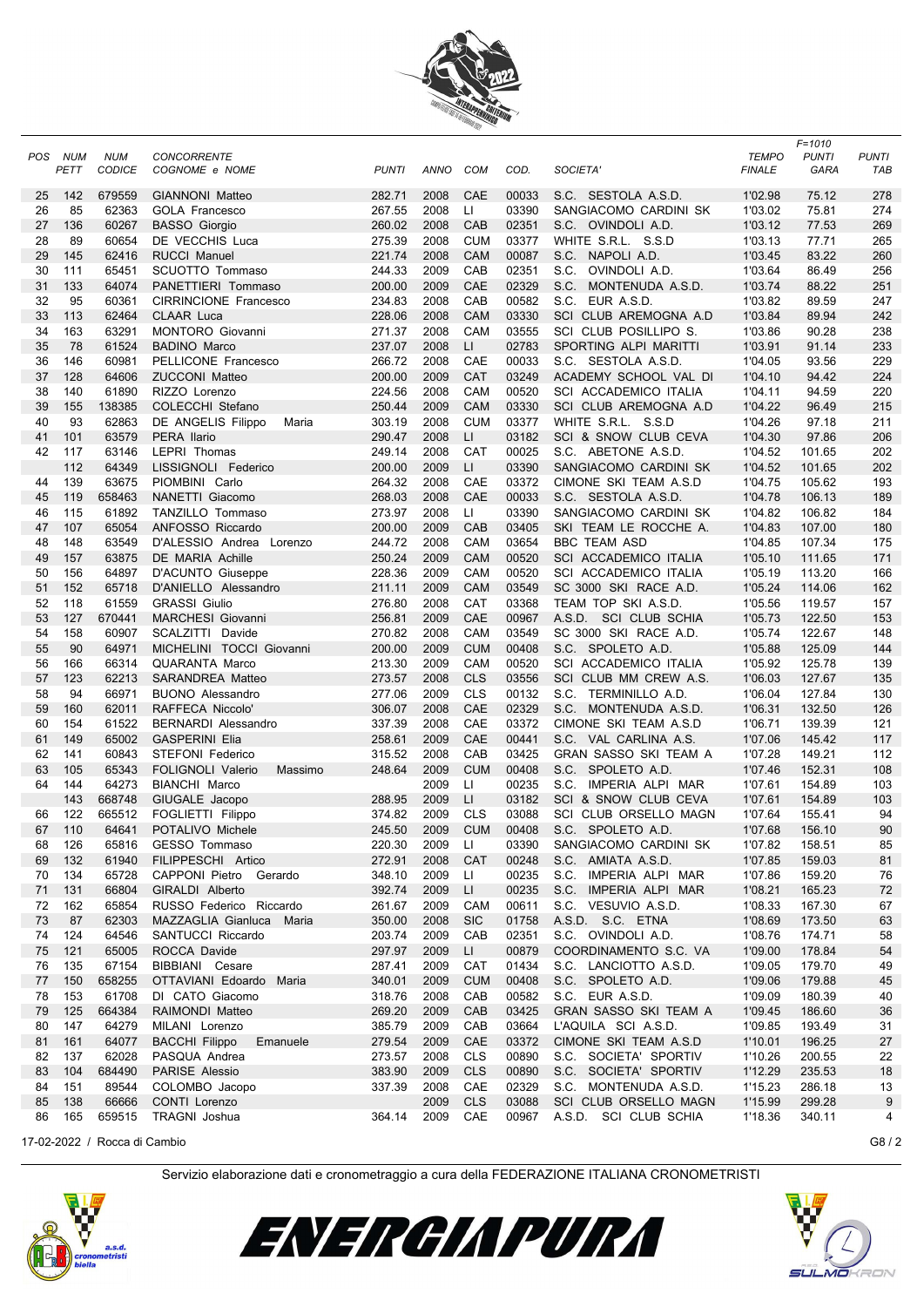

| <b>POS</b> | NUM<br>PETT | <b>NUM</b><br><b>CODICE</b>  | <b>CONCORRENTE</b><br>COGNOME e NOME             | <b>PUNTI</b>     | ANNO         | COM               | COD.           | <b>SOCIETA</b>                               | <b>TEMPO</b><br><b>FINALE</b> | F=1010<br><b>PUNTI</b><br>GARA | <b>PUNTI</b><br>TAB |
|------------|-------------|------------------------------|--------------------------------------------------|------------------|--------------|-------------------|----------------|----------------------------------------------|-------------------------------|--------------------------------|---------------------|
|            | 142         | 679559                       | <b>GIANNONI Matteo</b>                           | 282.71           | 2008         | CAE               | 00033          |                                              |                               |                                |                     |
| 25<br>26   | 85          | 62363                        | GOLA Francesco                                   | 267.55           | 2008         | LI.               | 03390          | S.C. SESTOLA A.S.D.<br>SANGIACOMO CARDINI SK | 1'02.98<br>1'03.02            | 75.12<br>75.81                 | 278<br>274          |
| 27         | 136         | 60267                        | <b>BASSO</b> Giorgio                             | 260.02           | 2008         | CAB               | 02351          | S.C. OVINDOLI A.D.                           | 1'03.12                       | 77.53                          | 269                 |
| 28         | 89          | 60654                        | DE VECCHIS Luca                                  | 275.39           | 2008         | <b>CUM</b>        | 03377          | WHITE S.R.L. S.S.D                           | 1'03.13                       | 77.71                          | 265                 |
| 29         | 145         | 62416                        | <b>RUCCI Manuel</b>                              | 221.74           | 2008         | CAM               | 00087          | NAPOLI A.D.<br>S.C.                          | 1'03.45                       | 83.22                          | 260                 |
| 30         | 111         | 65451                        | SCUOTTO Tommaso                                  | 244.33           | 2009         | CAB               | 02351          | S.C.<br>OVINDOLI A.D.                        | 1'03.64                       | 86.49                          | 256                 |
| 31         | 133         | 64074                        | PANETTIERI Tommaso                               | 200.00           | 2009         | CAE               | 02329          | S.C.<br>MONTENUDA A.S.D.                     | 1'03.74                       | 88.22                          | 251                 |
| 32         | 95          | 60361                        | <b>CIRRINCIONE Francesco</b>                     | 234.83           | 2008         | CAB               | 00582          | S.C.<br>EUR A.S.D.                           | 1'03.82                       | 89.59                          | 247                 |
| 33         | 113         | 62464                        | <b>CLAAR Luca</b>                                | 228.06           | 2008         | CAM               | 03330          | SCI CLUB AREMOGNA A.D                        | 1'03.84                       | 89.94                          | 242                 |
| 34         | 163         | 63291                        | <b>MONTORO</b> Giovanni                          | 271.37           | 2008         | CAM               | 03555          | SCI CLUB POSILLIPO S.                        | 1'03.86                       | 90.28                          | 238                 |
| 35         | 78          | 61524                        | <b>BADINO Marco</b>                              | 237.07           | 2008         | $\mathsf{L}$      | 02783          | SPORTING ALPI MARITTI                        | 1'03.91                       | 91.14                          | 233                 |
| 36         | 146         | 60981                        | PELLICONE Francesco                              | 266.72           | 2008         | CAE               | 00033          | S.C. SESTOLA A.S.D.                          | 1'04.05                       | 93.56                          | 229                 |
| 37         | 128         | 64606                        | <b>ZUCCONI Matteo</b>                            | 200.00           | 2009         | CAT               | 03249          | ACADEMY SCHOOL VAL DI                        | 1'04.10                       | 94.42                          | 224                 |
| 38         | 140         | 61890                        | RIZZO Lorenzo                                    | 224.56           | 2008         | CAM               | 00520          | SCI ACCADEMICO ITALIA                        | 1'04.11                       | 94.59                          | 220                 |
| 39         | 155         | 138385                       | COLECCHI Stefano                                 | 250.44           | 2009         | CAM               | 03330          | SCI CLUB AREMOGNA A.D                        | 1'04.22                       | 96.49                          | 215                 |
| 40         | 93          | 62863                        | DE ANGELIS Filippo<br>Maria                      | 303.19           | 2008         | <b>CUM</b>        | 03377          | WHITE S.R.L. S.S.D                           | 1'04.26                       | 97.18                          | 211                 |
| 41         | 101         | 63579                        | PERA Ilario                                      | 290.47           | 2008         | $\mathsf{L}$      | 03182          | SCI & SNOW CLUB CEVA                         | 1'04.30                       | 97.86                          | 206                 |
| 42         | 117         | 63146                        | LEPRI Thomas                                     | 249.14           | 2008         | CAT               | 00025          | S.C. ABETONE A.S.D.                          | 1'04.52                       | 101.65                         | 202                 |
|            | 112         | 64349                        | LISSIGNOLI Federico                              | 200.00           | 2009         | LI.               | 03390          | SANGIACOMO CARDINI SK                        | 1'04.52                       | 101.65                         | 202                 |
| 44         | 139         | 63675                        | PIOMBINI Carlo                                   | 264.32           | 2008         | CAE               | 03372          | CIMONE SKI TEAM A.S.D                        | 1'04.75                       | 105.62                         | 193                 |
| 45         | 119         | 658463                       | NANETTI Giacomo                                  | 268.03           | 2008         | CAE               | 00033          | S.C. SESTOLA A.S.D.                          | 1'04.78                       | 106.13                         | 189                 |
| 46         | 115         | 61892                        | <b>TANZILLO Tommaso</b>                          | 273.97           | 2008         | LI.               | 03390          | SANGIACOMO CARDINI SK                        | 1'04.82                       | 106.82                         | 184                 |
| 47         | 107         | 65054                        | ANFOSSO Riccardo                                 | 200.00           | 2009         | CAB               | 03405          | SKI TEAM LE ROCCHE A.                        | 1'04.83                       | 107.00                         | 180                 |
| 48         | 148         | 63549                        | D'ALESSIO Andrea Lorenzo                         | 244.72           | 2008         | CAM               | 03654          | <b>BBC TEAM ASD</b>                          | 1'04.85                       | 107.34                         | 175                 |
| 49         | 157         | 63875                        | <b>DE MARIA Achille</b>                          | 250.24           | 2009         | CAM               | 00520          | SCI ACCADEMICO ITALIA                        | 1'05.10                       | 111.65                         | 171                 |
| 50         | 156         | 64897                        | D'ACUNTO Giuseppe                                | 228.36           | 2009         | CAM               | 00520          | SCI ACCADEMICO ITALIA                        | 1'05.19                       | 113.20                         | 166                 |
| 51         | 152<br>118  | 65718                        | D'ANIELLO Alessandro                             | 211.11           | 2009         | CAM               | 03549          | SC 3000 SKI RACE A.D.                        | 1'05.24                       | 114.06                         | 162                 |
| 52<br>53   | 127         | 61559<br>670441              | <b>GRASSI Giulio</b><br><b>MARCHESI Giovanni</b> | 276.80<br>256.81 | 2008<br>2009 | CAT<br>CAE        | 03368<br>00967 | TEAM TOP SKI A.S.D.<br>A.S.D. SCI CLUB SCHIA | 1'05.56<br>1'05.73            | 119.57<br>122.50               | 157<br>153          |
| 54         | 158         | 60907                        | SCALZITTI Davide                                 | 270.82           | 2008         | CAM               | 03549          | SC 3000 SKI RACE A.D.                        | 1'05.74                       | 122.67                         | 148                 |
| 55         | 90          | 64971                        | MICHELINI TOCCI Giovanni                         | 200.00           | 2009         | <b>CUM</b>        | 00408          | S.C. SPOLETO A.D.                            | 1'05.88                       | 125.09                         | 144                 |
| 56         | 166         | 66314                        | QUARANTA Marco                                   | 213.30           | 2009         | CAM               | 00520          | SCI ACCADEMICO ITALIA                        | 1'05.92                       | 125.78                         | 139                 |
| 57         | 123         | 62213                        | <b>SARANDREA Matteo</b>                          | 273.57           | 2008         | <b>CLS</b>        | 03556          | SCI CLUB MM CREW A.S.                        | 1'06.03                       | 127.67                         | 135                 |
| 58         | 94          | 66971                        | <b>BUONO Alessandro</b>                          | 277.06           | 2009         | <b>CLS</b>        | 00132          | S.C. TERMINILLO A.D.                         | 1'06.04                       | 127.84                         | 130                 |
| 59         | 160         | 62011                        | RAFFECA Niccolo'                                 | 306.07           | 2008         | CAE               | 02329          | S.C. MONTENUDA A.S.D.                        | 1'06.31                       | 132.50                         | 126                 |
| 60         | 154         | 61522                        | <b>BERNARDI Alessandro</b>                       | 337.39           | 2008         | CAE               | 03372          | CIMONE SKI TEAM A.S.D                        | 1'06.71                       | 139.39                         | 121                 |
| 61         | 149         | 65002                        | <b>GASPERINI Elia</b>                            | 258.61           | 2009         | CAE               | 00441          | S.C. VAL CARLINA A.S.                        | 1'07.06                       | 145.42                         | 117                 |
| 62         | 141         | 60843                        | <b>STEFONI Federico</b>                          | 315.52           | 2008         | CAB               | 03425          | GRAN SASSO SKI TEAM A                        | 1'07.28                       | 149.21                         | 112                 |
| 63         | 105         | 65343                        | <b>FOLIGNOLI Valerio</b><br>Massimo              | 248.64           | 2009         | <b>CUM</b>        | 00408          | S.C. SPOLETO A.D.                            | 1'07.46                       | 152.31                         | 108                 |
| 64         | 144         | 64273                        | BIANCHI Marco                                    |                  | 2009         | П                 | 00235          | S.C. IMPERIA ALPI MAR                        | 1'07.61                       | 154.89                         | 103                 |
|            | 143         | 668748                       | GIUGALE Jacopo                                   | 288.95           | 2009         | $\mathsf{L}$      | 03182          | SCI & SNOW CLUB CEVA                         | 1'07.61                       | 154.89                         | 103                 |
| 66         | 122         | 665512                       | FOGLIETTI Filippo                                | 374.82           | 2009         | <b>CLS</b>        | 03088          | SCI CLUB ORSELLO MAGN                        | 1'07.64                       | 155.41                         | 94                  |
| 67         | 110         | 64641                        | POTALIVO Michele                                 | 245.50           | 2009         | <b>CUM</b>        | 00408          | S.C. SPOLETO A.D.                            | 1'07.68                       | 156.10                         | 90                  |
| 68         | 126         | 65816                        | GESSO Tommaso                                    | 220.30           | 2009         | LI.               | 03390          | SANGIACOMO CARDINI SK                        | 1'07.82                       | 158.51                         | 85                  |
| 69         | 132         | 61940                        | FILIPPESCHI Artico                               | 272.91           | 2008         | <b>CAT</b>        | 00248          | S.C. AMIATA A.S.D.                           | 1'07.85                       | 159.03                         | 81                  |
| 70         | 134         | 65728                        | CAPPONI Pietro Gerardo                           | 348.10           | 2009         | LI.               | 00235          | S.C. IMPERIA ALPI MAR                        | 1'07.86                       | 159.20                         | 76                  |
| 71         | 131         | 66804                        | GIRALDI Alberto                                  | 392.74           | 2009         | LI                | 00235          | S.C. IMPERIA ALPI MAR                        | 1'08.21                       | 165.23                         | 72                  |
| 72         | 162         | 65854                        | RUSSO Federico Riccardo                          | 261.67           | 2009         | <b>CAM</b>        | 00611          | S.C. VESUVIO A.S.D.                          | 1'08.33                       | 167.30                         | 67                  |
| 73         | 87          | 62303                        | MAZZAGLIA Gianluca Maria                         | 350.00           | 2008         | <b>SIC</b>        | 01758          | A.S.D. S.C. ETNA                             | 1'08.69                       | 173.50                         | 63                  |
| 74         | 124         | 64546                        | SANTUCCI Riccardo                                | 203.74           | 2009         | CAB               | 02351          | S.C. OVINDOLI A.D.                           | 1'08.76                       | 174.71                         | 58                  |
| 75         | 121         | 65005                        | ROCCA Davide                                     | 297.97           | 2009         | LI.               | 00879          | COORDINAMENTO S.C. VA                        | 1'09.00                       | 178.84                         | 54                  |
| 76         | 135         | 67154                        | BIBBIANI Cesare<br>OTTAVIANI Edoardo             | 287.41           | 2009         | CAT               | 01434          | S.C. LANCIOTTO A.S.D.                        | 1'09.05                       | 179.70                         | 49                  |
| 77         | 150<br>153  | 658255<br>61708              | Maria                                            | 340.01<br>318.76 | 2009<br>2008 | <b>CUM</b><br>CAB | 00408<br>00582 | S.C. SPOLETO A.D.<br>S.C. EUR A.S.D.         | 1'09.06<br>1'09.09            | 179.88<br>180.39               | 45                  |
| 78<br>79   | 125         | 664384                       | DI CATO Giacomo<br>RAIMONDI Matteo               | 269.20           | 2009         | CAB               | 03425          | GRAN SASSO SKI TEAM A                        | 1'09.45                       | 186.60                         | 40<br>36            |
| 80         | 147         | 64279                        | MILANI Lorenzo                                   | 385.79           | 2009         | CAB               | 03664          | L'AQUILA SCI A.S.D.                          | 1'09.85                       | 193.49                         | 31                  |
| 81         | 161         | 64077                        | <b>BACCHI Filippo</b><br>Emanuele                | 279.54           | 2009         | CAE               | 03372          | CIMONE SKI TEAM A.S.D                        | 1'10.01                       | 196.25                         | 27                  |
| 82         | 137         | 62028                        | PASQUA Andrea                                    | 273.57           | 2008         | <b>CLS</b>        | 00890          | S.C. SOCIETA' SPORTIV                        | 1'10.26                       | 200.55                         | 22                  |
| 83         | 104         | 684490                       | PARISE Alessio                                   | 383.90           | 2009         | <b>CLS</b>        | 00890          | S.C. SOCIETA' SPORTIV                        | 1'12.29                       | 235.53                         | 18                  |
| 84         | 151         | 89544                        | COLOMBO Jacopo                                   | 337.39           | 2008         | CAE               | 02329          | S.C. MONTENUDA A.S.D.                        | 1'15.23                       | 286.18                         | 13                  |
| 85         | 138         | 66666                        | CONTI Lorenzo                                    |                  | 2009         | <b>CLS</b>        | 03088          | SCI CLUB ORSELLO MAGN                        | 1'15.99                       | 299.28                         | 9                   |
| 86         | 165         | 659515                       | <b>TRAGNI</b> Joshua                             | 364.14           | 2009         | CAE               | 00967          | A.S.D. SCI CLUB SCHIA                        | 1'18.36                       | 340.11                         | 4                   |
|            |             |                              |                                                  |                  |              |                   |                |                                              |                               |                                |                     |
|            |             | 17-02-2022 / Rocca di Cambio |                                                  |                  |              |                   |                |                                              |                               |                                | G8/2                |

Servizio elaborazione dati e cronometraggio a cura della FEDERAZIONE ITALIANA CRONOMETRISTI

ENERGIAPURA